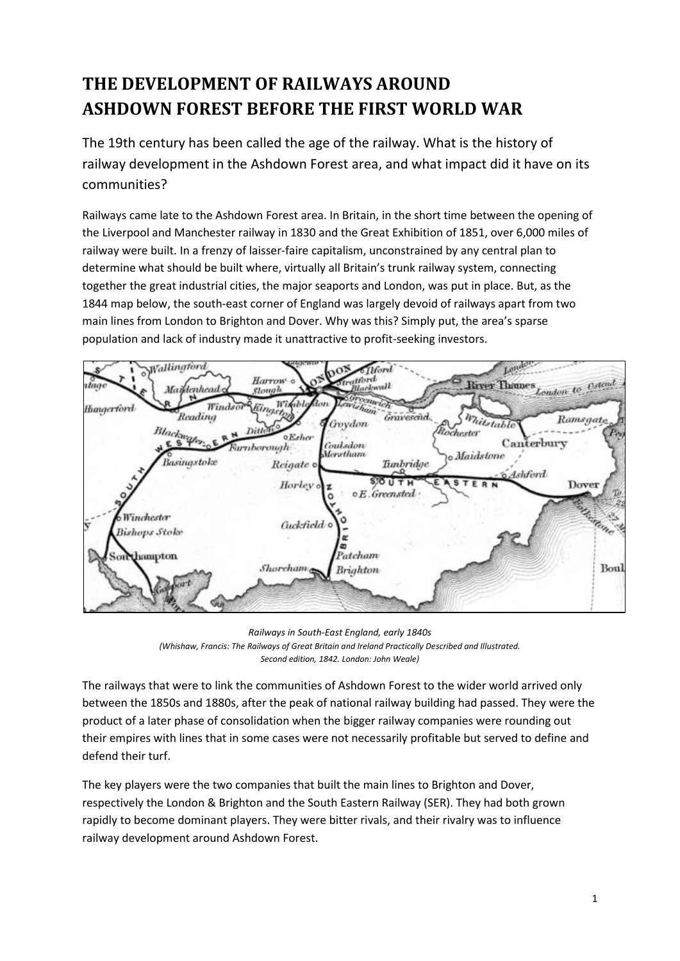## **THE DEVELOPMENT OF RAILWAYS AROUND ASHDOWN FOREST BEFORE THE FIRST WORLD WAR**

The 19th century has been called the age of the railway. What is the history of railway development in the Ashdown Forest area, and what impact did it have on its communities?

Railways came late to the Ashdown Forest area. In Britain, in the short time between the opening of the Liverpool and Manchester railway in 1830 and the Great Exhibition of 1851, over 6,000 miles of railway were built. In a frenzy of laisser-faire capitalism, unconstrained by any central plan to determine what should be built where, virtually all Britain's trunk railway system, connecting together the great industrial cities, the major seaports and London, was put in place. But, as the 1844 map below, the south-east corner of England was largely devoid of railways apart from two main lines from London to Brighton and Dover. Why was this? Simply put, the area's sparse population and lack of industry made it unattractive to profit-seeking investors.

| Wallingtord<br>$\circ$                              | $\omega_{0z}$<br>Нагтон о<br>tratford<br>$\sigma$ <sub>2</sub> | Lendo-                                                   |
|-----------------------------------------------------|----------------------------------------------------------------|----------------------------------------------------------|
| rtage<br>Maidenhead<br>Windsor<br><b>Hungerford</b> | Blackwall<br>Slough<br>Lewisham<br>Kingst Windleston           | London to Ostend<br><b>River Thames</b>                  |
| Reading                                             | Groydon<br>$M$ Dittem <sup>o</sup>                             | <b>Gravesend</b><br>Whitetable<br>Ramsgate,<br>Rochester |
| Blackwater.com                                      | <b>OEsher</b><br>Coulsdon<br>Farnborough<br>Merstham           | Canterbury<br>o Maidstone                                |
| Basingstoke<br>$e^{\frac{\lambda}{2}}$              | Reigate of<br>Horley o                                         | Timbridge<br>- o Ashford<br>ERN<br>Dover                 |
|                                                     | $\circ E$ . Greensted .                                        | To.                                                      |
| $6$ Winchester<br><b>Bishops</b> Stoke              | Gudcfield o                                                    | ed testone                                               |
| out hampton                                         | Patcham                                                        |                                                          |
|                                                     | Shorcham <sub>d</sub><br><b>Brighton</b>                       | Boul                                                     |
| 0.08<br>ும                                          |                                                                |                                                          |

*Railways in South-East England, early 1840s (Whishaw, Francis: The Railways of Great Britain and Ireland Practically Described and Illustrated. Second edition, 1842. London: John Weale)*

The railways that were to link the communities of Ashdown Forest to the wider world arrived only between the 1850s and 1880s, after the peak of national railway building had passed. They were the product of a later phase of consolidation when the bigger railway companies were rounding out their empires with lines that in some cases were not necessarily profitable but served to define and defend their turf.

The key players were the two companies that built the main lines to Brighton and Dover, respectively the London & Brighton and the South Eastern Railway (SER). They had both grown rapidly to become dominant players. They were bitter rivals, and their rivalry was to influence railway development around Ashdown Forest.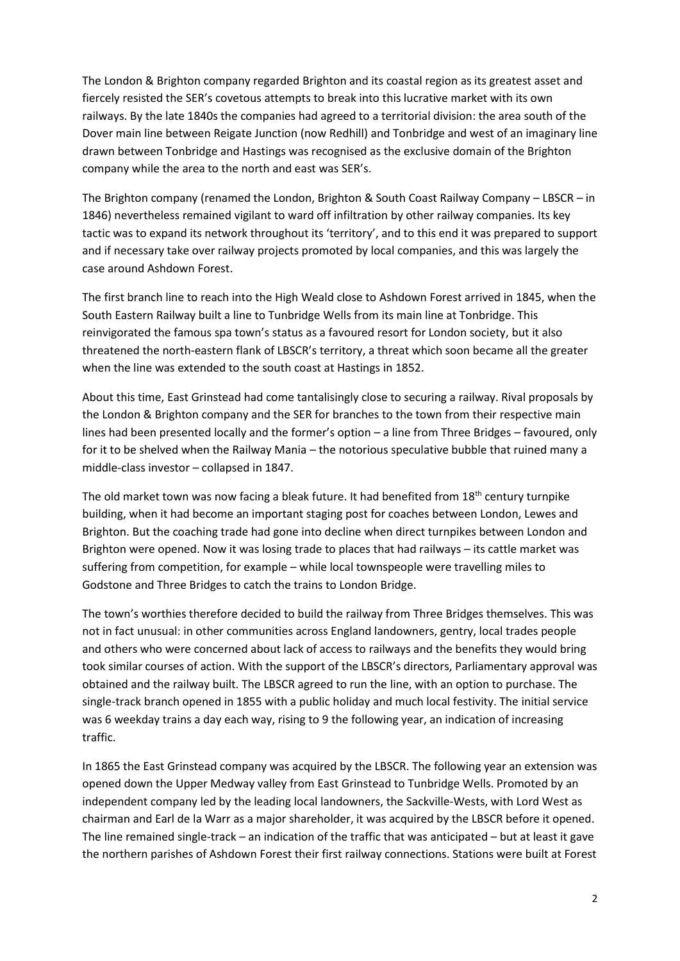The London & Brighton company regarded Brighton and its coastal region as its greatest asset and fiercely resisted the SER's covetous attempts to break into this lucrative market with its own railways. By the late 1840s the companies had agreed to a territorial division: the area south of the Dover main line between Reigate Junction (now Redhill) and Tonbridge and west of an imaginary line drawn between Tonbridge and Hastings was recognised as the exclusive domain of the Brighton company while the area to the north and east was SER's.

The Brighton company (renamed the London, Brighton & South Coast Railway Company – LBSCR – in 1846) nevertheless remained vigilant to ward off infiltration by other railway companies. Its key tactic was to expand its network throughout its 'territory', and to this end it was prepared to support and if necessary take over railway projects promoted by local companies, and this was largely the case around Ashdown Forest.

The first branch line to reach into the High Weald close to Ashdown Forest arrived in 1845, when the South Eastern Railway built a line to Tunbridge Wells from its main line at Tonbridge. This reinvigorated the famous spa town's status as a favoured resort for London society, but it also threatened the north-eastern flank of LBSCR's territory, a threat which soon became all the greater when the line was extended to the south coast at Hastings in 1852.

About this time, East Grinstead had come tantalisingly close to securing a railway. Rival proposals by the London & Brighton company and the SER for branches to the town from their respective main lines had been presented locally and the former's option – a line from Three Bridges – favoured, only for it to be shelved when the Railway Mania – the notorious speculative bubble that ruined many a middle-class investor – collapsed in 1847.

The old market town was now facing a bleak future. It had benefited from  $18<sup>th</sup>$  century turnpike building, when it had become an important staging post for coaches between London, Lewes and Brighton. But the coaching trade had gone into decline when direct turnpikes between London and Brighton were opened. Now it was losing trade to places that had railways – its cattle market was suffering from competition, for example – while local townspeople were travelling miles to Godstone and Three Bridges to catch the trains to London Bridge.

The town's worthies therefore decided to build the railway from Three Bridges themselves. This was not in fact unusual: in other communities across England landowners, gentry, local trades people and others who were concerned about lack of access to railways and the benefits they would bring took similar courses of action. With the support of the LBSCR's directors, Parliamentary approval was obtained and the railway built. The LBSCR agreed to run the line, with an option to purchase. The single-track branch opened in 1855 with a public holiday and much local festivity. The initial service was 6 weekday trains a day each way, rising to 9 the following year, an indication of increasing traffic.

In 1865 the East Grinstead company was acquired by the LBSCR. The following year an extension was opened down the Upper Medway valley from East Grinstead to Tunbridge Wells. Promoted by an independent company led by the leading local landowners, the Sackville-Wests, with Lord West as chairman and Earl de la Warr as a major shareholder, it was acquired by the LBSCR before it opened. The line remained single-track – an indication of the traffic that was anticipated – but at least it gave the northern parishes of Ashdown Forest their first railway connections. Stations were built at Forest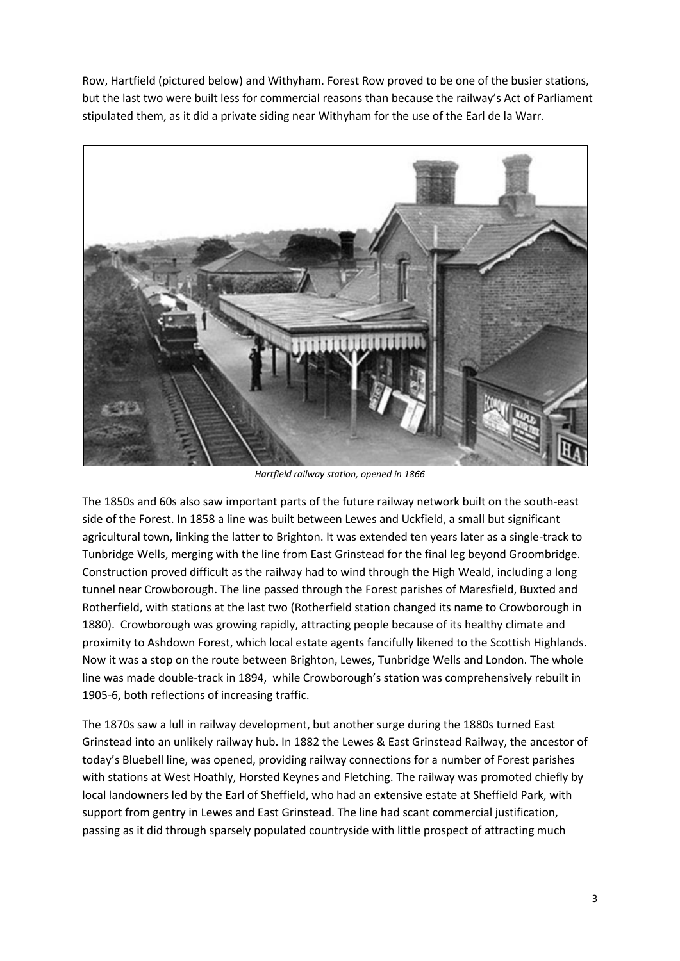Row, Hartfield (pictured below) and Withyham. Forest Row proved to be one of the busier stations, but the last two were built less for commercial reasons than because the railway's Act of Parliament stipulated them, as it did a private siding near Withyham for the use of the Earl de la Warr.



*Hartfield railway station, opened in 1866*

The 1850s and 60s also saw important parts of the future railway network built on the south-east side of the Forest. In 1858 a line was built between Lewes and Uckfield, a small but significant agricultural town, linking the latter to Brighton. It was extended ten years later as a single-track to Tunbridge Wells, merging with the line from East Grinstead for the final leg beyond Groombridge. Construction proved difficult as the railway had to wind through the High Weald, including a long tunnel near Crowborough. The line passed through the Forest parishes of Maresfield, Buxted and Rotherfield, with stations at the last two (Rotherfield station changed its name to Crowborough in 1880). Crowborough was growing rapidly, attracting people because of its healthy climate and proximity to Ashdown Forest, which local estate agents fancifully likened to the Scottish Highlands. Now it was a stop on the route between Brighton, Lewes, Tunbridge Wells and London. The whole line was made double-track in 1894, while Crowborough's station was comprehensively rebuilt in 1905-6, both reflections of increasing traffic.

The 1870s saw a lull in railway development, but another surge during the 1880s turned East Grinstead into an unlikely railway hub. In 1882 the Lewes & East Grinstead Railway, the ancestor of today's Bluebell line, was opened, providing railway connections for a number of Forest parishes with stations at West Hoathly, Horsted Keynes and Fletching. The railway was promoted chiefly by local landowners led by the Earl of Sheffield, who had an extensive estate at Sheffield Park, with support from gentry in Lewes and East Grinstead. The line had scant commercial justification, passing as it did through sparsely populated countryside with little prospect of attracting much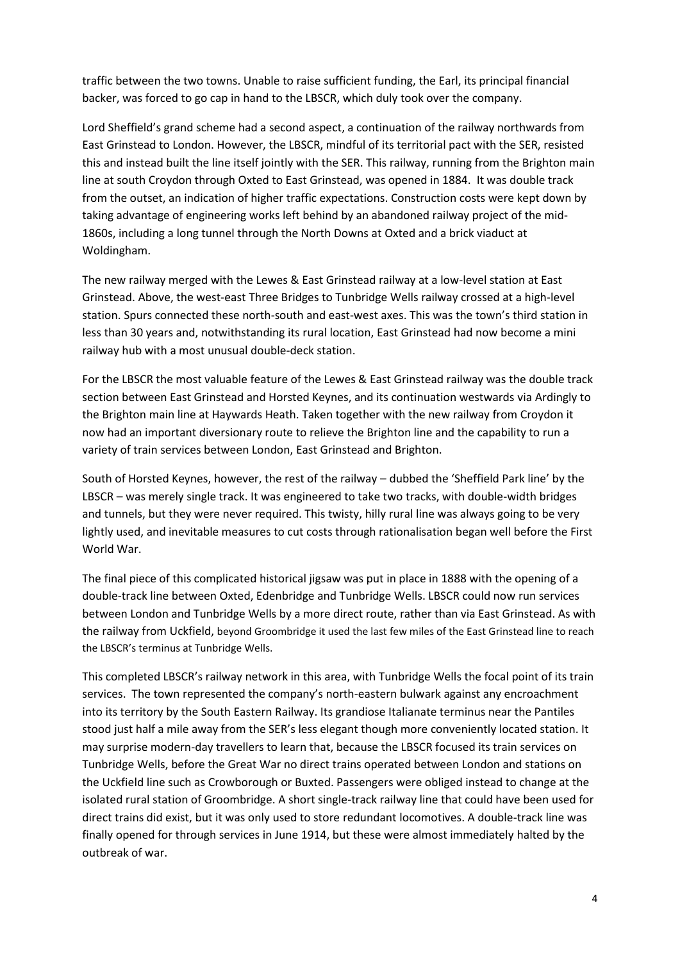traffic between the two towns. Unable to raise sufficient funding, the Earl, its principal financial backer, was forced to go cap in hand to the LBSCR, which duly took over the company.

Lord Sheffield's grand scheme had a second aspect, a continuation of the railway northwards from East Grinstead to London. However, the LBSCR, mindful of its territorial pact with the SER, resisted this and instead built the line itself jointly with the SER. This railway, running from the Brighton main line at south Croydon through Oxted to East Grinstead, was opened in 1884. It was double track from the outset, an indication of higher traffic expectations. Construction costs were kept down by taking advantage of engineering works left behind by an abandoned railway project of the mid-1860s, including a long tunnel through the North Downs at Oxted and a brick viaduct at Woldingham.

The new railway merged with the Lewes & East Grinstead railway at a low-level station at East Grinstead. Above, the west-east Three Bridges to Tunbridge Wells railway crossed at a high-level station. Spurs connected these north-south and east-west axes. This was the town's third station in less than 30 years and, notwithstanding its rural location, East Grinstead had now become a mini railway hub with a most unusual double-deck station.

For the LBSCR the most valuable feature of the Lewes & East Grinstead railway was the double track section between East Grinstead and Horsted Keynes, and its continuation westwards via Ardingly to the Brighton main line at Haywards Heath. Taken together with the new railway from Croydon it now had an important diversionary route to relieve the Brighton line and the capability to run a variety of train services between London, East Grinstead and Brighton.

South of Horsted Keynes, however, the rest of the railway – dubbed the 'Sheffield Park line' by the LBSCR – was merely single track. It was engineered to take two tracks, with double-width bridges and tunnels, but they were never required. This twisty, hilly rural line was always going to be very lightly used, and inevitable measures to cut costs through rationalisation began well before the First World War.

The final piece of this complicated historical jigsaw was put in place in 1888 with the opening of a double-track line between Oxted, Edenbridge and Tunbridge Wells. LBSCR could now run services between London and Tunbridge Wells by a more direct route, rather than via East Grinstead. As with the railway from Uckfield, beyond Groombridge it used the last few miles of the East Grinstead line to reach the LBSCR's terminus at Tunbridge Wells.

This completed LBSCR's railway network in this area, with Tunbridge Wells the focal point of its train services. The town represented the company's north-eastern bulwark against any encroachment into its territory by the South Eastern Railway. Its grandiose Italianate terminus near the Pantiles stood just half a mile away from the SER's less elegant though more conveniently located station. It may surprise modern-day travellers to learn that, because the LBSCR focused its train services on Tunbridge Wells, before the Great War no direct trains operated between London and stations on the Uckfield line such as Crowborough or Buxted. Passengers were obliged instead to change at the isolated rural station of Groombridge. A short single-track railway line that could have been used for direct trains did exist, but it was only used to store redundant locomotives. A double-track line was finally opened for through services in June 1914, but these were almost immediately halted by the outbreak of war.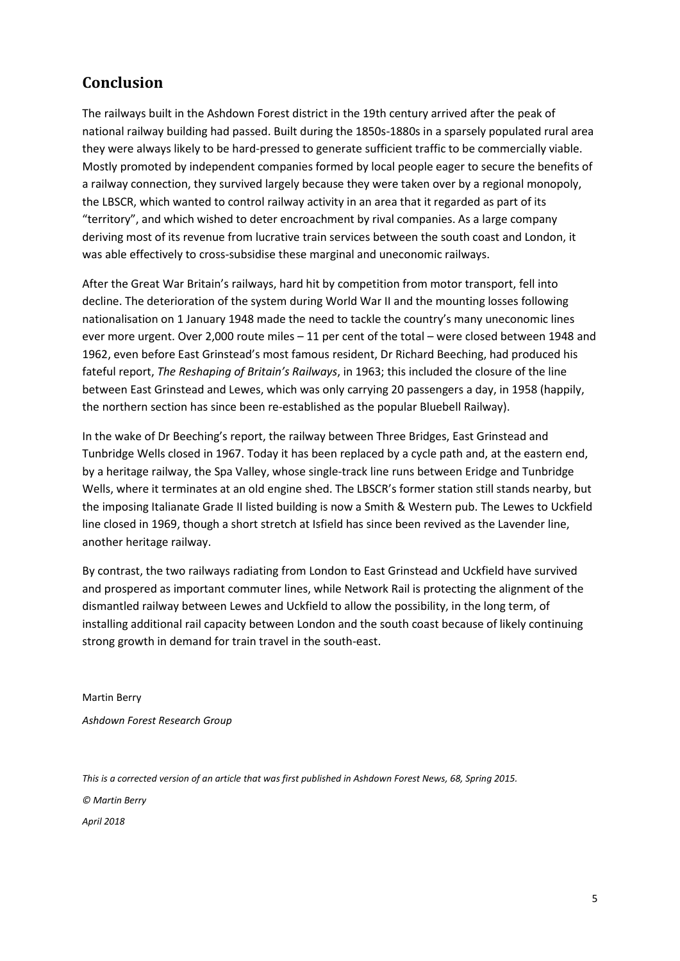## **Conclusion**

The railways built in the Ashdown Forest district in the 19th century arrived after the peak of national railway building had passed. Built during the 1850s-1880s in a sparsely populated rural area they were always likely to be hard-pressed to generate sufficient traffic to be commercially viable. Mostly promoted by independent companies formed by local people eager to secure the benefits of a railway connection, they survived largely because they were taken over by a regional monopoly, the LBSCR, which wanted to control railway activity in an area that it regarded as part of its "territory", and which wished to deter encroachment by rival companies. As a large company deriving most of its revenue from lucrative train services between the south coast and London, it was able effectively to cross-subsidise these marginal and uneconomic railways.

After the Great War Britain's railways, hard hit by competition from motor transport, fell into decline. The deterioration of the system during World War II and the mounting losses following nationalisation on 1 January 1948 made the need to tackle the country's many uneconomic lines ever more urgent. Over 2,000 route miles – 11 per cent of the total – were closed between 1948 and 1962, even before East Grinstead's most famous resident, Dr Richard Beeching, had produced his fateful report, *The Reshaping of Britain's Railways*, in 1963; this included the closure of the line between East Grinstead and Lewes, which was only carrying 20 passengers a day, in 1958 (happily, the northern section has since been re-established as the popular Bluebell Railway).

In the wake of Dr Beeching's report, the railway between Three Bridges, East Grinstead and Tunbridge Wells closed in 1967. Today it has been replaced by a cycle path and, at the eastern end, by a heritage railway, the Spa Valley, whose single-track line runs between Eridge and Tunbridge Wells, where it terminates at an old engine shed. The LBSCR's former station still stands nearby, but the imposing Italianate Grade II listed building is now a Smith & Western pub. The Lewes to Uckfield line closed in 1969, though a short stretch at Isfield has since been revived as the Lavender line, another heritage railway.

By contrast, the two railways radiating from London to East Grinstead and Uckfield have survived and prospered as important commuter lines, while Network Rail is protecting the alignment of the dismantled railway between Lewes and Uckfield to allow the possibility, in the long term, of installing additional rail capacity between London and the south coast because of likely continuing strong growth in demand for train travel in the south-east.

Martin Berry *Ashdown Forest Research Group*

*This is a corrected version of an article that was first published in Ashdown Forest News, 68, Spring 2015.*

*© Martin Berry*

*April 2018*